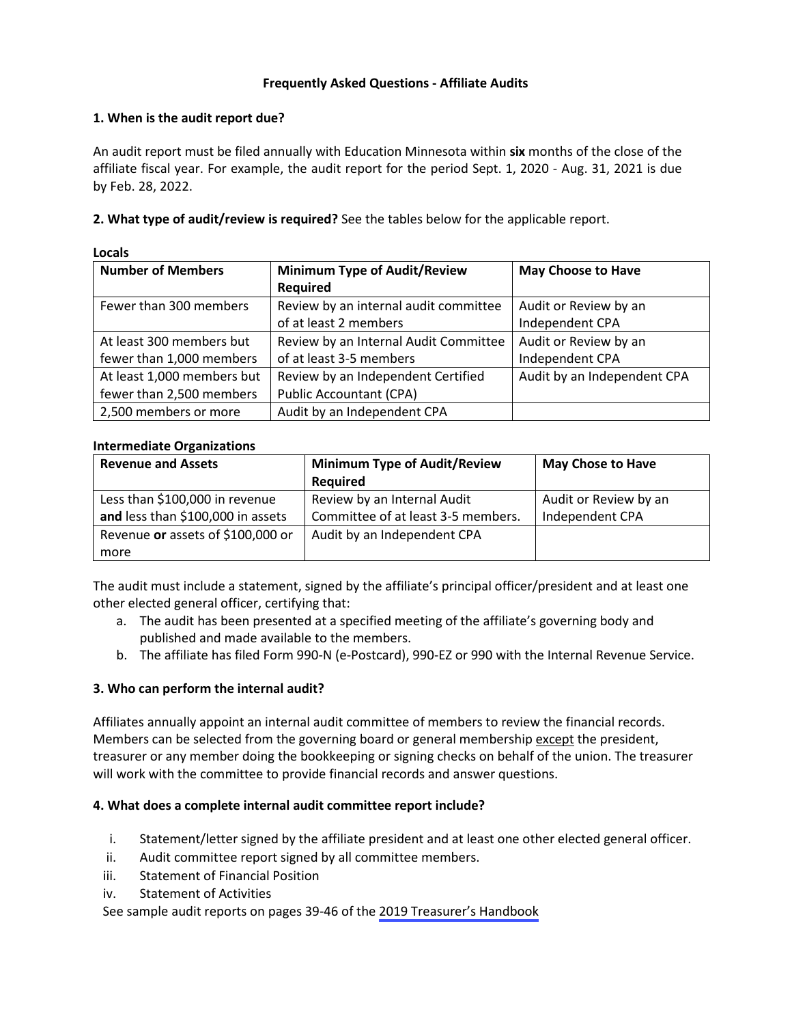# **Frequently Asked Questions - Affiliate Audits**

# **1. When is the audit report due?**

An audit report must be filed annually with Education Minnesota within **six** months of the close of the affiliate fiscal year. For example, the audit report for the period Sept. 1, 2020 - Aug. 31, 2021 is due by Feb. 28, 2022.

**2. What type of audit/review is required?** See the tables below for the applicable report.

| <b>Number of Members</b>   | <b>Minimum Type of Audit/Review</b>   | <b>May Choose to Have</b>   |
|----------------------------|---------------------------------------|-----------------------------|
|                            | <b>Required</b>                       |                             |
| Fewer than 300 members     | Review by an internal audit committee | Audit or Review by an       |
|                            | of at least 2 members                 | Independent CPA             |
| At least 300 members but   | Review by an Internal Audit Committee | Audit or Review by an       |
| fewer than 1,000 members   | of at least 3-5 members               | Independent CPA             |
| At least 1,000 members but | Review by an Independent Certified    | Audit by an Independent CPA |
| fewer than 2,500 members   | <b>Public Accountant (CPA)</b>        |                             |
| 2,500 members or more      | Audit by an Independent CPA           |                             |

**Locals**

## **Intermediate Organizations**

| <b>Revenue and Assets</b>         | <b>Minimum Type of Audit/Review</b> | <b>May Chose to Have</b> |
|-----------------------------------|-------------------------------------|--------------------------|
|                                   | <b>Required</b>                     |                          |
| Less than \$100,000 in revenue    | Review by an Internal Audit         | Audit or Review by an    |
| and less than \$100,000 in assets | Committee of at least 3-5 members.  | Independent CPA          |
| Revenue or assets of \$100,000 or | Audit by an Independent CPA         |                          |
| more                              |                                     |                          |

The audit must include a statement, signed by the affiliate's principal officer/president and at least one other elected general officer, certifying that:

- a. The audit has been presented at a specified meeting of the affiliate's governing body and published and made available to the members.
- b. The affiliate has filed Form 990-N (e-Postcard), 990-EZ or 990 with the Internal Revenue Service.

## **3. Who can perform the internal audit?**

Affiliates annually appoint an internal audit committee of members to review the financial records. Members can be selected from the governing board or general membership except the president, treasurer or any member doing the bookkeeping or signing checks on behalf of the union. The treasurer will work with the committee to provide financial records and answer questions.

## **4. What does a complete internal audit committee report include?**

- i. Statement/letter signed by the affiliate president and at least one other elected general officer.
- ii. Audit committee report signed by all committee members.
- iii. Statement of Financial Position
- iv. Statement of Activities

See sample audit reports on pages 39-46 of the [2019 Treasurer's Handbook](https://www.educationminnesota.org/EDMN/media/edmn-secure/elections/2019_TreasurersHandbook.pdf)